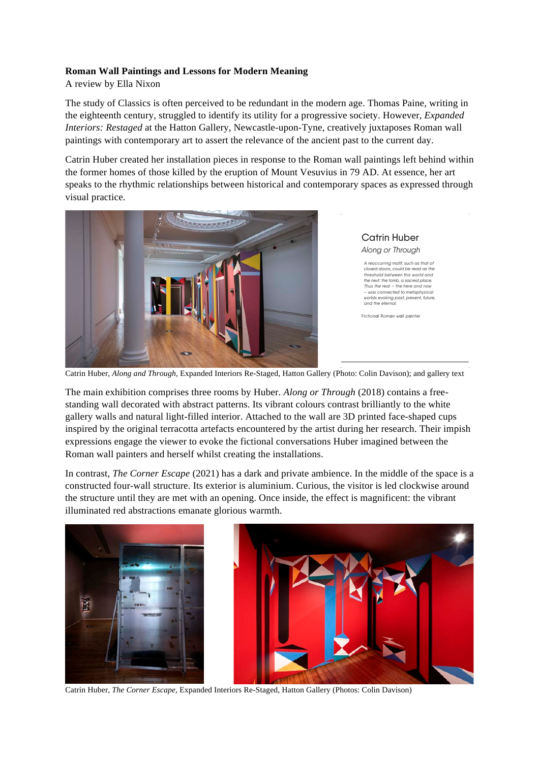## **Roman Wall Paintings and Lessons for Modern Meaning**

A review by Ella Nixon

The study of Classics is often perceived to be redundant in the modern age. Thomas Paine, writing in the eighteenth century, struggled to identify its utility for a progressive society. However, *Expanded Interiors: Restaged* at the Hatton Gallery, Newcastle-upon-Tyne, creatively juxtaposes Roman wall paintings with contemporary art to assert the relevance of the ancient past to the current day.

Catrin Huber created her installation pieces in response to the Roman wall paintings left behind within the former homes of those killed by the eruption of Mount Vesuvius in 79 AD. At essence, her art speaks to the rhythmic relationships between historical and contemporary spaces as expressed through visual practice.



## *Along or Through*  Catrin Huber

 *A reoccurring motif, such as that of closed doors, could be read as the threshold between this world and the next: the tomb, a sacred place. Thus the real – the here and now – was connected to metaphysical worlds evoking past, present, future, and the eternal.*

Fictional Roman wall painter

Catrin Huber, *Along and Through,* Expanded Interiors Re-Staged, Hatton Gallery (Photo: Colin Davison); and gallery text

The main exhibition comprises three rooms by Huber. *Along or Through* (2018) contains a freestanding wall decorated with abstract patterns. Its vibrant colours contrast brilliantly to the white gallery walls and natural light-filled interior. Attached to the wall are 3D printed face-shaped cups inspired by the original terracotta artefacts encountered by the artist during her research. Their impish expressions engage the viewer to evoke the fictional conversations Huber imagined between the Roman wall painters and herself whilst creating the installations.

In contrast, *The Corner Escape* (2021) has a dark and private ambience. In the middle of the space is a constructed four-wall structure. Its exterior is aluminium. Curious, the visitor is led clockwise around the structure until they are met with an opening. Once inside, the effect is magnificent: the vibrant illuminated red abstractions emanate glorious warmth.



Catrin Huber, *The Corner Escape*, Expanded Interiors Re-Staged, Hatton Gallery (Photos: Colin Davison)